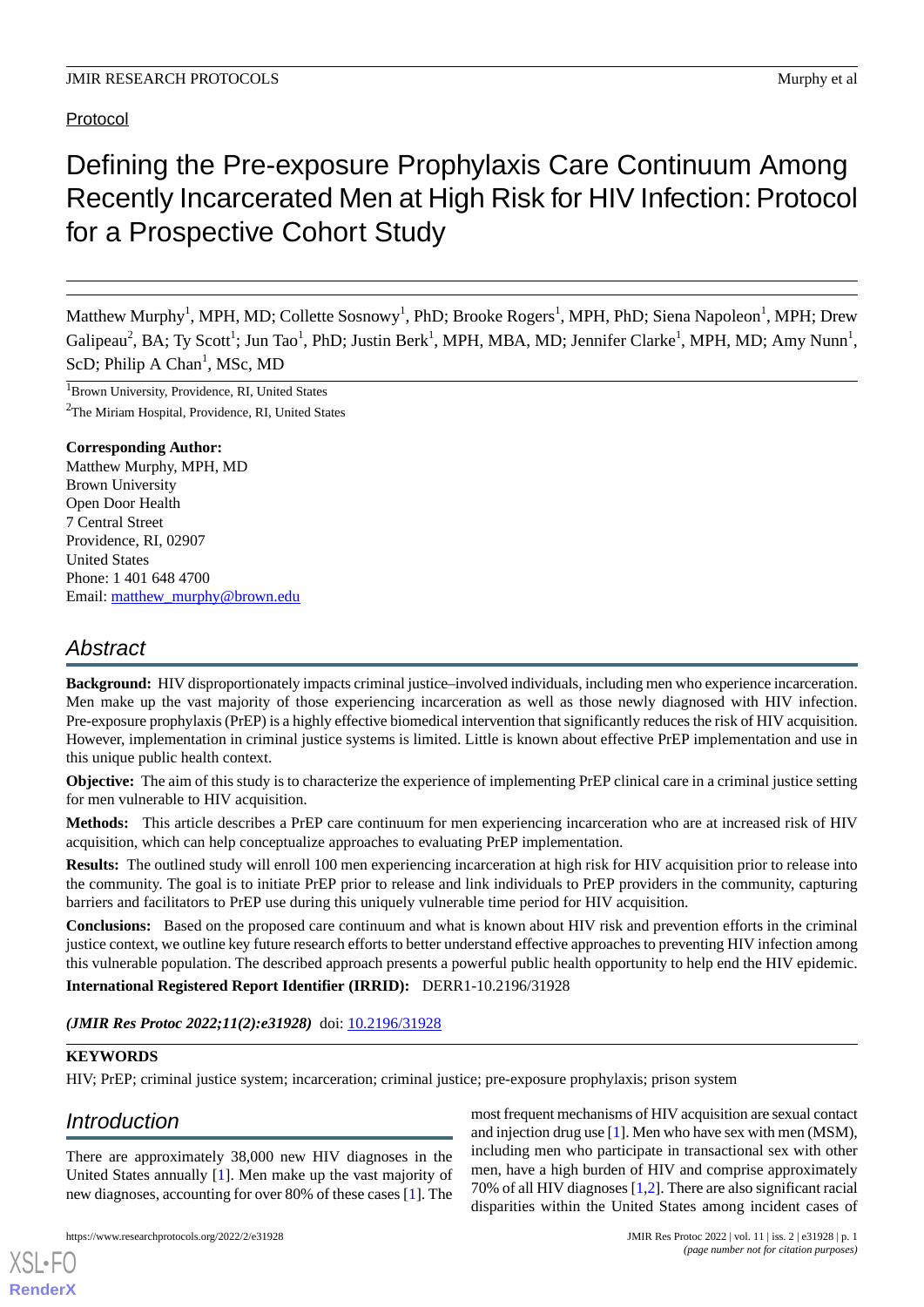# Protocol

# Defining the Pre-exposure Prophylaxis Care Continuum Among Recently Incarcerated Men at High Risk for HIV Infection: Protocol for a Prospective Cohort Study

Matthew Murphy<sup>1</sup>, MPH, MD; Collette Sosnowy<sup>1</sup>, PhD; Brooke Rogers<sup>1</sup>, MPH, PhD; Siena Napoleon<sup>1</sup>, MPH; Drew  $Galipeau<sup>2</sup>, BA; Ty Scott<sup>1</sup>; Jun Tao<sup>1</sup>, PhD; Justin Berk<sup>1</sup>, MPH, MBA, MD; Jennifer Clarke<sup>1</sup>, MPH, MD; Amy Nunn<sup>1</sup>,$ ScD; Philip A Chan<sup>1</sup>, MSc, MD

<sup>1</sup>Brown University, Providence, RI, United States <sup>2</sup>The Miriam Hospital, Providence, RI, United States

# **Corresponding Author:**

Matthew Murphy, MPH, MD Brown University Open Door Health 7 Central Street Providence, RI, 02907 United States Phone: 1 401 648 4700 Email: [matthew\\_murphy@brown.edu](mailto:matthew_murphy@brown.edu)

# *Abstract*

**Background:** HIV disproportionately impacts criminal justice–involved individuals, including men who experience incarceration. Men make up the vast majority of those experiencing incarceration as well as those newly diagnosed with HIV infection. Pre-exposure prophylaxis (PrEP) is a highly effective biomedical intervention that significantly reduces the risk of HIV acquisition. However, implementation in criminal justice systems is limited. Little is known about effective PrEP implementation and use in this unique public health context.

**Objective:** The aim of this study is to characterize the experience of implementing PrEP clinical care in a criminal justice setting for men vulnerable to HIV acquisition.

**Methods:** This article describes a PrEP care continuum for men experiencing incarceration who are at increased risk of HIV acquisition, which can help conceptualize approaches to evaluating PrEP implementation.

**Results:** The outlined study will enroll 100 men experiencing incarceration at high risk for HIV acquisition prior to release into the community. The goal is to initiate PrEP prior to release and link individuals to PrEP providers in the community, capturing barriers and facilitators to PrEP use during this uniquely vulnerable time period for HIV acquisition.

**Conclusions:** Based on the proposed care continuum and what is known about HIV risk and prevention efforts in the criminal justice context, we outline key future research efforts to better understand effective approaches to preventing HIV infection among this vulnerable population. The described approach presents a powerful public health opportunity to help end the HIV epidemic. **International Registered Report Identifier (IRRID):** DERR1-10.2196/31928

*(JMIR Res Protoc 2022;11(2):e31928)* doi: [10.2196/31928](http://dx.doi.org/10.2196/31928)

# **KEYWORDS**

HIV; PrEP; criminal justice system; incarceration; criminal justice; pre-exposure prophylaxis; prison system

# *Introduction*

[XSL](http://www.w3.org/Style/XSL)•FO **[RenderX](http://www.renderx.com/)**

There are approximately 38,000 new HIV diagnoses in the United States annually [\[1](#page-5-0)]. Men make up the vast majority of new diagnoses, accounting for over 80% of these cases [\[1](#page-5-0)]. The

most frequent mechanisms of HIV acquisition are sexual contact and injection drug use [[1\]](#page-5-0). Men who have sex with men (MSM), including men who participate in transactional sex with other men, have a high burden of HIV and comprise approximately 70% of all HIV diagnoses [[1](#page-5-0)[,2](#page-5-1)]. There are also significant racial disparities within the United States among incident cases of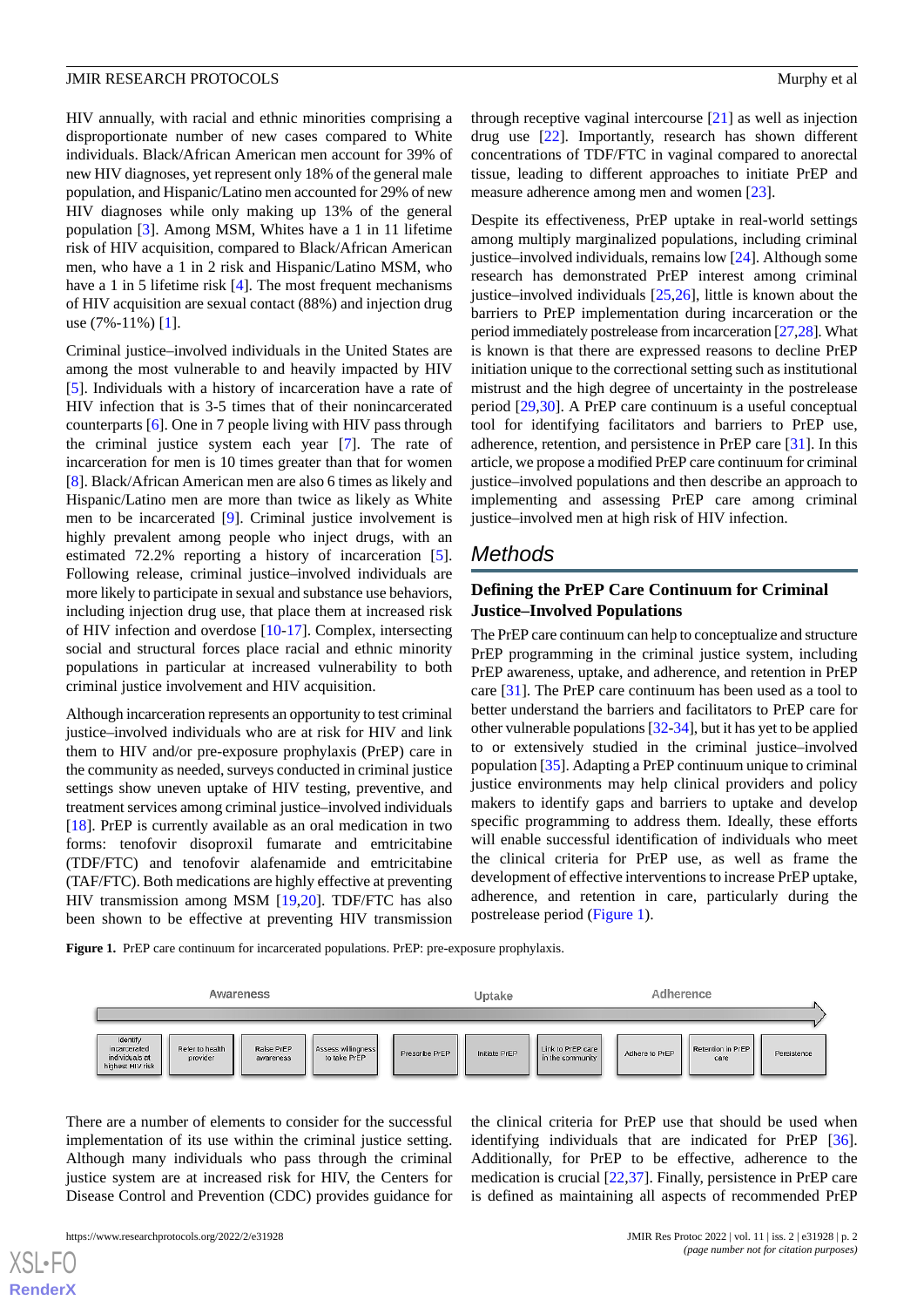HIV annually, with racial and ethnic minorities comprising a disproportionate number of new cases compared to White individuals. Black/African American men account for 39% of new HIV diagnoses, yet represent only 18% of the general male population, and Hispanic/Latino men accounted for 29% of new HIV diagnoses while only making up 13% of the general population [[3\]](#page-5-2). Among MSM, Whites have a 1 in 11 lifetime risk of HIV acquisition, compared to Black/African American men, who have a 1 in 2 risk and Hispanic/Latino MSM, who have a 1 in 5 lifetime risk [\[4](#page-5-3)]. The most frequent mechanisms of HIV acquisition are sexual contact (88%) and injection drug use (7%-11%) [[1\]](#page-5-0).

Criminal justice–involved individuals in the United States are among the most vulnerable to and heavily impacted by HIV [[5\]](#page-5-4). Individuals with a history of incarceration have a rate of HIV infection that is 3-5 times that of their nonincarcerated counterparts [[6](#page-5-5)]. One in 7 people living with HIV pass through the criminal justice system each year [[7\]](#page-5-6). The rate of incarceration for men is 10 times greater than that for women [[8\]](#page-5-7). Black/African American men are also 6 times as likely and Hispanic/Latino men are more than twice as likely as White men to be incarcerated [\[9](#page-5-8)]. Criminal justice involvement is highly prevalent among people who inject drugs, with an estimated 72.2% reporting a history of incarceration [[5\]](#page-5-4). Following release, criminal justice–involved individuals are more likely to participate in sexual and substance use behaviors, including injection drug use, that place them at increased risk of HIV infection and overdose [\[10](#page-5-9)-[17\]](#page-6-0). Complex, intersecting social and structural forces place racial and ethnic minority populations in particular at increased vulnerability to both criminal justice involvement and HIV acquisition.

Although incarceration represents an opportunity to test criminal justice–involved individuals who are at risk for HIV and link them to HIV and/or pre-exposure prophylaxis (PrEP) care in the community as needed, surveys conducted in criminal justice settings show uneven uptake of HIV testing, preventive, and treatment services among criminal justice–involved individuals [[18\]](#page-6-1). PrEP is currently available as an oral medication in two forms: tenofovir disoproxil fumarate and emtricitabine (TDF/FTC) and tenofovir alafenamide and emtricitabine (TAF/FTC). Both medications are highly effective at preventing HIV transmission among MSM [\[19](#page-6-2),[20\]](#page-6-3). TDF/FTC has also been shown to be effective at preventing HIV transmission

through receptive vaginal intercourse [\[21](#page-6-4)] as well as injection drug use [[22\]](#page-6-5). Importantly, research has shown different concentrations of TDF/FTC in vaginal compared to anorectal tissue, leading to different approaches to initiate PrEP and measure adherence among men and women [\[23](#page-6-6)].

Despite its effectiveness, PrEP uptake in real-world settings among multiply marginalized populations, including criminal justice–involved individuals, remains low [[24\]](#page-6-7). Although some research has demonstrated PrEP interest among criminal justice–involved individuals  $[25,26]$  $[25,26]$  $[25,26]$  $[25,26]$ , little is known about the barriers to PrEP implementation during incarceration or the period immediately postrelease from incarceration [\[27](#page-6-10)[,28](#page-6-11)]. What is known is that there are expressed reasons to decline PrEP initiation unique to the correctional setting such as institutional mistrust and the high degree of uncertainty in the postrelease period [\[29](#page-6-12),[30\]](#page-6-13). A PrEP care continuum is a useful conceptual tool for identifying facilitators and barriers to PrEP use, adherence, retention, and persistence in PrEP care [\[31](#page-6-14)]. In this article, we propose a modified PrEP care continuum for criminal justice–involved populations and then describe an approach to implementing and assessing PrEP care among criminal justice–involved men at high risk of HIV infection.

# *Methods*

# **Defining the PrEP Care Continuum for Criminal Justice–Involved Populations**

The PrEP care continuum can help to conceptualize and structure PrEP programming in the criminal justice system, including PrEP awareness, uptake, and adherence, and retention in PrEP care [\[31](#page-6-14)]. The PrEP care continuum has been used as a tool to better understand the barriers and facilitators to PrEP care for other vulnerable populations [[32-](#page-6-15)[34](#page-6-16)], but it has yet to be applied to or extensively studied in the criminal justice–involved population [\[35](#page-7-0)]. Adapting a PrEP continuum unique to criminal justice environments may help clinical providers and policy makers to identify gaps and barriers to uptake and develop specific programming to address them. Ideally, these efforts will enable successful identification of individuals who meet the clinical criteria for PrEP use, as well as frame the development of effective interventions to increase PrEP uptake, adherence, and retention in care, particularly during the postrelease period ([Figure 1\)](#page-1-0).

the clinical criteria for PrEP use that should be used when identifying individuals that are indicated for PrEP [[36\]](#page-7-1). Additionally, for PrEP to be effective, adherence to the medication is crucial [[22,](#page-6-5)[37](#page-7-2)]. Finally, persistence in PrEP care is defined as maintaining all aspects of recommended PrEP

<span id="page-1-0"></span>Figure 1. PrEP care continuum for incarcerated populations. PrEP: pre-exposure prophylaxis.



There are a number of elements to consider for the successful implementation of its use within the criminal justice setting. Although many individuals who pass through the criminal justice system are at increased risk for HIV, the Centers for Disease Control and Prevention (CDC) provides guidance for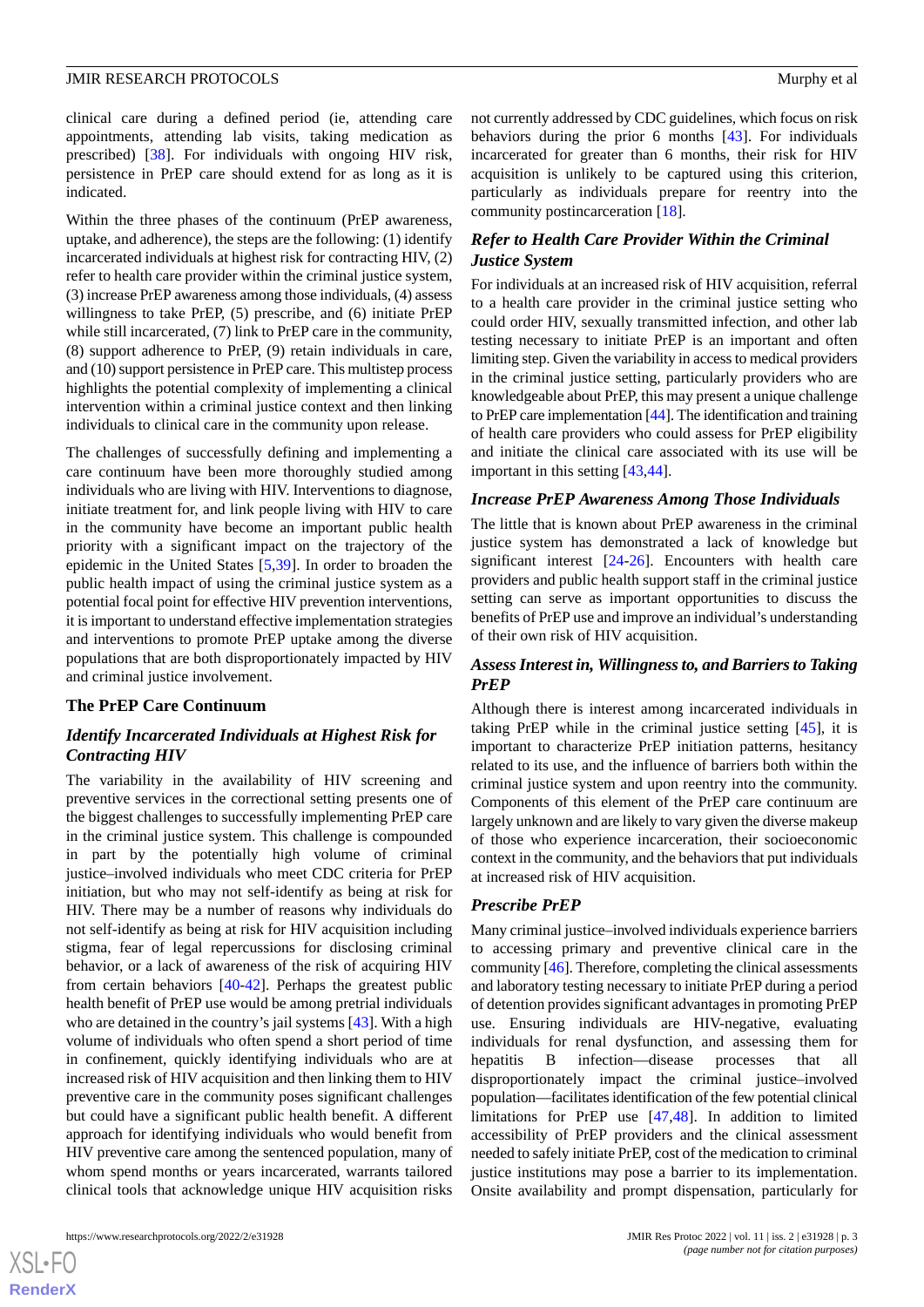clinical care during a defined period (ie, attending care appointments, attending lab visits, taking medication as prescribed) [[38\]](#page-7-3). For individuals with ongoing HIV risk, persistence in PrEP care should extend for as long as it is indicated.

Within the three phases of the continuum (PrEP awareness, uptake, and adherence), the steps are the following: (1) identify incarcerated individuals at highest risk for contracting HIV, (2) refer to health care provider within the criminal justice system, (3) increase PrEP awareness among those individuals, (4) assess willingness to take PrEP, (5) prescribe, and (6) initiate PrEP while still incarcerated, (7) link to PrEP care in the community, (8) support adherence to PrEP, (9) retain individuals in care, and (10) support persistence in PrEP care. This multistep process highlights the potential complexity of implementing a clinical intervention within a criminal justice context and then linking individuals to clinical care in the community upon release.

The challenges of successfully defining and implementing a care continuum have been more thoroughly studied among individuals who are living with HIV. Interventions to diagnose, initiate treatment for, and link people living with HIV to care in the community have become an important public health priority with a significant impact on the trajectory of the epidemic in the United States [\[5](#page-5-4),[39\]](#page-7-4). In order to broaden the public health impact of using the criminal justice system as a potential focal point for effective HIV prevention interventions, it is important to understand effective implementation strategies and interventions to promote PrEP uptake among the diverse populations that are both disproportionately impacted by HIV and criminal justice involvement.

#### **The PrEP Care Continuum**

# *Identify Incarcerated Individuals at Highest Risk for Contracting HIV*

The variability in the availability of HIV screening and preventive services in the correctional setting presents one of the biggest challenges to successfully implementing PrEP care in the criminal justice system. This challenge is compounded in part by the potentially high volume of criminal justice–involved individuals who meet CDC criteria for PrEP initiation, but who may not self-identify as being at risk for HIV. There may be a number of reasons why individuals do not self-identify as being at risk for HIV acquisition including stigma, fear of legal repercussions for disclosing criminal behavior, or a lack of awareness of the risk of acquiring HIV from certain behaviors [[40-](#page-7-5)[42\]](#page-7-6). Perhaps the greatest public health benefit of PrEP use would be among pretrial individuals who are detained in the country's jail systems [[43\]](#page-7-7). With a high volume of individuals who often spend a short period of time in confinement, quickly identifying individuals who are at increased risk of HIV acquisition and then linking them to HIV preventive care in the community poses significant challenges but could have a significant public health benefit. A different approach for identifying individuals who would benefit from HIV preventive care among the sentenced population, many of whom spend months or years incarcerated, warrants tailored clinical tools that acknowledge unique HIV acquisition risks

 $XS$  $\cdot$ FC **[RenderX](http://www.renderx.com/)** not currently addressed by CDC guidelines, which focus on risk behaviors during the prior 6 months [[43\]](#page-7-7). For individuals incarcerated for greater than 6 months, their risk for HIV acquisition is unlikely to be captured using this criterion, particularly as individuals prepare for reentry into the community postincarceration [\[18](#page-6-1)].

# *Refer to Health Care Provider Within the Criminal Justice System*

For individuals at an increased risk of HIV acquisition, referral to a health care provider in the criminal justice setting who could order HIV, sexually transmitted infection, and other lab testing necessary to initiate PrEP is an important and often limiting step. Given the variability in access to medical providers in the criminal justice setting, particularly providers who are knowledgeable about PrEP, this may present a unique challenge to PrEP care implementation [\[44\]](#page-7-8). The identification and training of health care providers who could assess for PrEP eligibility and initiate the clinical care associated with its use will be important in this setting [[43](#page-7-7)[,44](#page-7-8)].

#### *Increase PrEP Awareness Among Those Individuals*

The little that is known about PrEP awareness in the criminal justice system has demonstrated a lack of knowledge but significant interest [\[24](#page-6-7)-[26\]](#page-6-9). Encounters with health care providers and public health support staff in the criminal justice setting can serve as important opportunities to discuss the benefits of PrEP use and improve an individual's understanding of their own risk of HIV acquisition.

# *Assess Interest in, Willingness to, and Barriers to Taking PrEP*

Although there is interest among incarcerated individuals in taking PrEP while in the criminal justice setting [[45\]](#page-7-9), it is important to characterize PrEP initiation patterns, hesitancy related to its use, and the influence of barriers both within the criminal justice system and upon reentry into the community. Components of this element of the PrEP care continuum are largely unknown and are likely to vary given the diverse makeup of those who experience incarceration, their socioeconomic context in the community, and the behaviors that put individuals at increased risk of HIV acquisition.

#### *Prescribe PrEP*

Many criminal justice–involved individuals experience barriers to accessing primary and preventive clinical care in the community [[46\]](#page-7-10). Therefore, completing the clinical assessments and laboratory testing necessary to initiate PrEP during a period of detention provides significant advantages in promoting PrEP use. Ensuring individuals are HIV-negative, evaluating individuals for renal dysfunction, and assessing them for hepatitis B infection—disease processes that all disproportionately impact the criminal justice–involved population—facilitates identification of the few potential clinical limitations for PrEP use [\[47](#page-7-11),[48\]](#page-7-12). In addition to limited accessibility of PrEP providers and the clinical assessment needed to safely initiate PrEP, cost of the medication to criminal justice institutions may pose a barrier to its implementation. Onsite availability and prompt dispensation, particularly for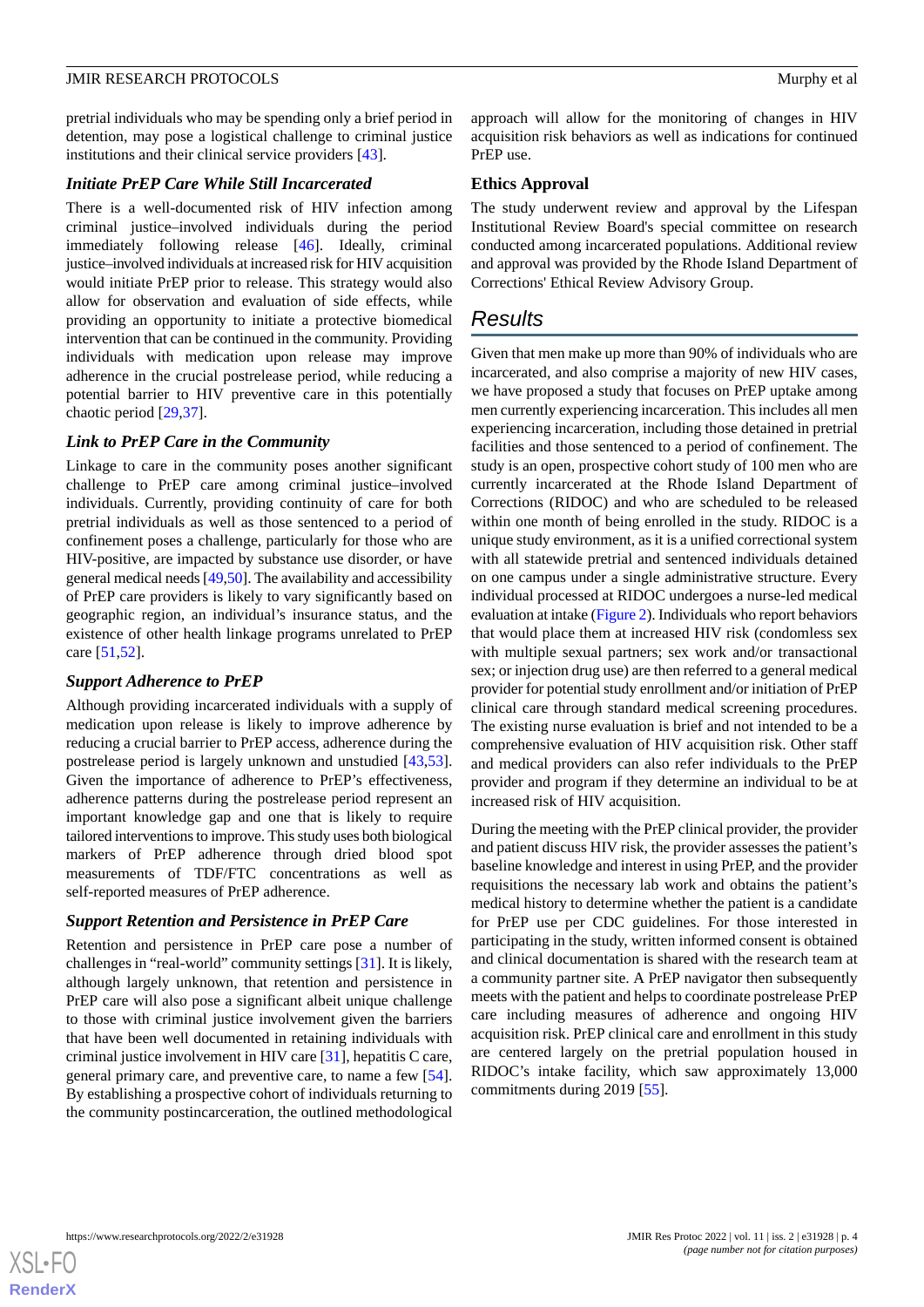pretrial individuals who may be spending only a brief period in detention, may pose a logistical challenge to criminal justice institutions and their clinical service providers [[43\]](#page-7-7).

#### *Initiate PrEP Care While Still Incarcerated*

There is a well-documented risk of HIV infection among criminal justice–involved individuals during the period immediately following release [[46\]](#page-7-10). Ideally, criminal justice–involved individuals at increased risk for HIV acquisition would initiate PrEP prior to release. This strategy would also allow for observation and evaluation of side effects, while providing an opportunity to initiate a protective biomedical intervention that can be continued in the community. Providing individuals with medication upon release may improve adherence in the crucial postrelease period, while reducing a potential barrier to HIV preventive care in this potentially chaotic period [\[29](#page-6-12),[37\]](#page-7-2).

#### *Link to PrEP Care in the Community*

Linkage to care in the community poses another significant challenge to PrEP care among criminal justice–involved individuals. Currently, providing continuity of care for both pretrial individuals as well as those sentenced to a period of confinement poses a challenge, particularly for those who are HIV-positive, are impacted by substance use disorder, or have general medical needs [\[49](#page-7-13)[,50](#page-7-14)]. The availability and accessibility of PrEP care providers is likely to vary significantly based on geographic region, an individual's insurance status, and the existence of other health linkage programs unrelated to PrEP care [[51](#page-7-15),[52\]](#page-7-16).

#### *Support Adherence to PrEP*

Although providing incarcerated individuals with a supply of medication upon release is likely to improve adherence by reducing a crucial barrier to PrEP access, adherence during the postrelease period is largely unknown and unstudied [\[43](#page-7-7),[53\]](#page-7-17). Given the importance of adherence to PrEP's effectiveness, adherence patterns during the postrelease period represent an important knowledge gap and one that is likely to require tailored interventions to improve. This study uses both biological markers of PrEP adherence through dried blood spot measurements of TDF/FTC concentrations as well as self-reported measures of PrEP adherence.

#### *Support Retention and Persistence in PrEP Care*

Retention and persistence in PrEP care pose a number of challenges in "real-world" community settings [\[31](#page-6-14)]. It is likely, although largely unknown, that retention and persistence in PrEP care will also pose a significant albeit unique challenge to those with criminal justice involvement given the barriers that have been well documented in retaining individuals with criminal justice involvement in HIV care [[31\]](#page-6-14), hepatitis C care, general primary care, and preventive care, to name a few [[54\]](#page-7-18). By establishing a prospective cohort of individuals returning to the community postincarceration, the outlined methodological

approach will allow for the monitoring of changes in HIV acquisition risk behaviors as well as indications for continued PrEP use.

#### **Ethics Approval**

The study underwent review and approval by the Lifespan Institutional Review Board's special committee on research conducted among incarcerated populations. Additional review and approval was provided by the Rhode Island Department of Corrections' Ethical Review Advisory Group.

# *Results*

Given that men make up more than 90% of individuals who are incarcerated, and also comprise a majority of new HIV cases, we have proposed a study that focuses on PrEP uptake among men currently experiencing incarceration. This includes all men experiencing incarceration, including those detained in pretrial facilities and those sentenced to a period of confinement. The study is an open, prospective cohort study of 100 men who are currently incarcerated at the Rhode Island Department of Corrections (RIDOC) and who are scheduled to be released within one month of being enrolled in the study. RIDOC is a unique study environment, as it is a unified correctional system with all statewide pretrial and sentenced individuals detained on one campus under a single administrative structure. Every individual processed at RIDOC undergoes a nurse-led medical evaluation at intake [\(Figure 2\)](#page-4-0). Individuals who report behaviors that would place them at increased HIV risk (condomless sex with multiple sexual partners; sex work and/or transactional sex; or injection drug use) are then referred to a general medical provider for potential study enrollment and/or initiation of PrEP clinical care through standard medical screening procedures. The existing nurse evaluation is brief and not intended to be a comprehensive evaluation of HIV acquisition risk. Other staff and medical providers can also refer individuals to the PrEP provider and program if they determine an individual to be at increased risk of HIV acquisition.

During the meeting with the PrEP clinical provider, the provider and patient discuss HIV risk, the provider assesses the patient's baseline knowledge and interest in using PrEP, and the provider requisitions the necessary lab work and obtains the patient's medical history to determine whether the patient is a candidate for PrEP use per CDC guidelines. For those interested in participating in the study, written informed consent is obtained and clinical documentation is shared with the research team at a community partner site. A PrEP navigator then subsequently meets with the patient and helps to coordinate postrelease PrEP care including measures of adherence and ongoing HIV acquisition risk. PrEP clinical care and enrollment in this study are centered largely on the pretrial population housed in RIDOC's intake facility, which saw approximately 13,000 commitments during 2019 [\[55](#page-7-19)].

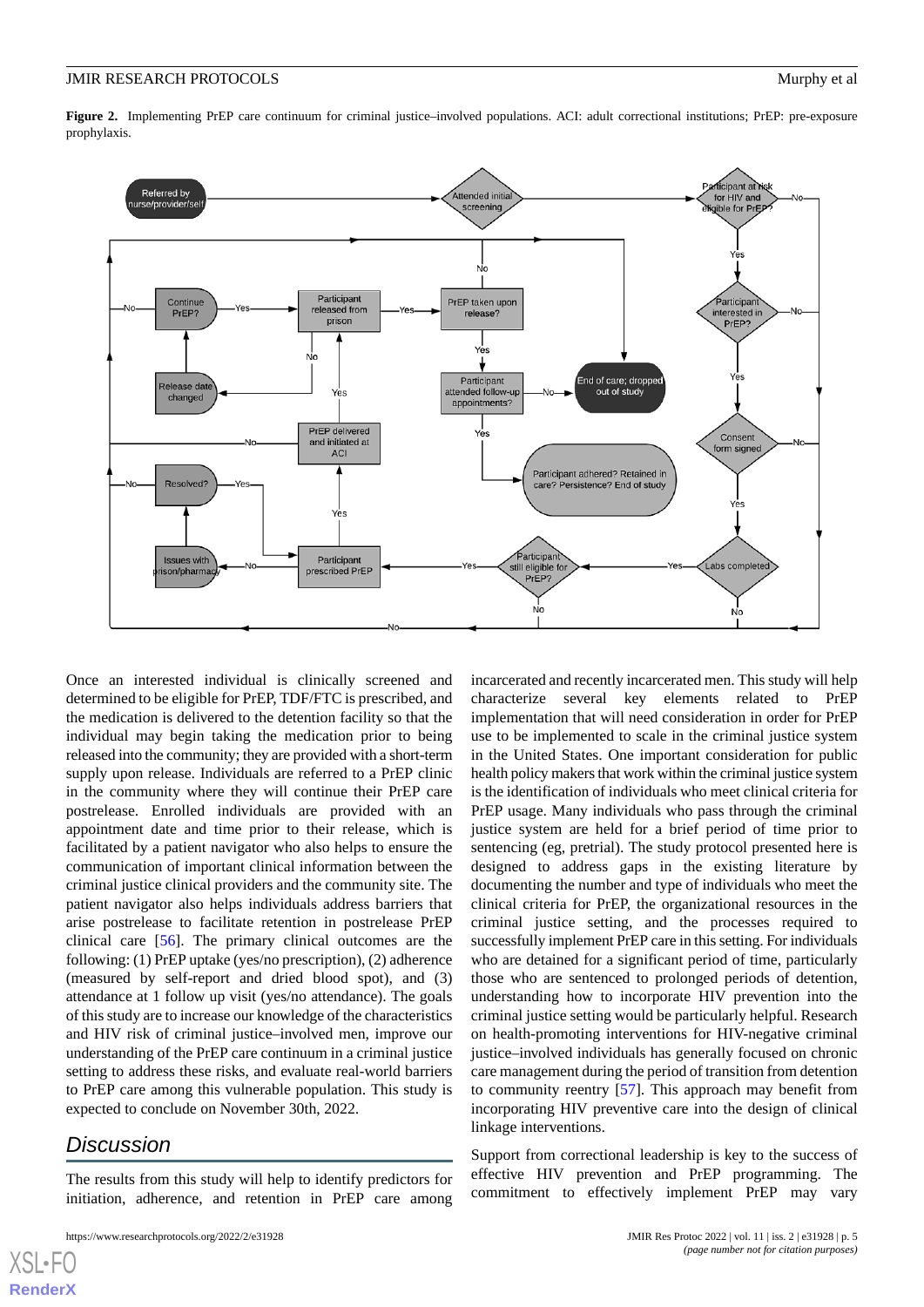<span id="page-4-0"></span>**Figure 2.** Implementing PrEP care continuum for criminal justice–involved populations. ACI: adult correctional institutions; PrEP: pre-exposure prophylaxis.



Once an interested individual is clinically screened and determined to be eligible for PrEP, TDF/FTC is prescribed, and the medication is delivered to the detention facility so that the individual may begin taking the medication prior to being released into the community; they are provided with a short-term supply upon release. Individuals are referred to a PrEP clinic in the community where they will continue their PrEP care postrelease. Enrolled individuals are provided with an appointment date and time prior to their release, which is facilitated by a patient navigator who also helps to ensure the communication of important clinical information between the criminal justice clinical providers and the community site. The patient navigator also helps individuals address barriers that arise postrelease to facilitate retention in postrelease PrEP clinical care [\[56](#page-8-0)]. The primary clinical outcomes are the following: (1) PrEP uptake (yes/no prescription), (2) adherence (measured by self-report and dried blood spot), and (3) attendance at 1 follow up visit (yes/no attendance). The goals of this study are to increase our knowledge of the characteristics and HIV risk of criminal justice–involved men, improve our understanding of the PrEP care continuum in a criminal justice setting to address these risks, and evaluate real-world barriers to PrEP care among this vulnerable population. This study is expected to conclude on November 30th, 2022.

# *Discussion*

[XSL](http://www.w3.org/Style/XSL)•FO **[RenderX](http://www.renderx.com/)**

The results from this study will help to identify predictors for initiation, adherence, and retention in PrEP care among

incarcerated and recently incarcerated men. This study will help characterize several key elements related to PrEP implementation that will need consideration in order for PrEP use to be implemented to scale in the criminal justice system in the United States. One important consideration for public health policy makers that work within the criminal justice system is the identification of individuals who meet clinical criteria for PrEP usage. Many individuals who pass through the criminal justice system are held for a brief period of time prior to sentencing (eg, pretrial). The study protocol presented here is designed to address gaps in the existing literature by documenting the number and type of individuals who meet the clinical criteria for PrEP, the organizational resources in the criminal justice setting, and the processes required to successfully implement PrEP care in this setting. For individuals who are detained for a significant period of time, particularly those who are sentenced to prolonged periods of detention, understanding how to incorporate HIV prevention into the criminal justice setting would be particularly helpful. Research on health-promoting interventions for HIV-negative criminal justice–involved individuals has generally focused on chronic care management during the period of transition from detention to community reentry [[57\]](#page-8-1). This approach may benefit from incorporating HIV preventive care into the design of clinical linkage interventions.

Support from correctional leadership is key to the success of effective HIV prevention and PrEP programming. The commitment to effectively implement PrEP may vary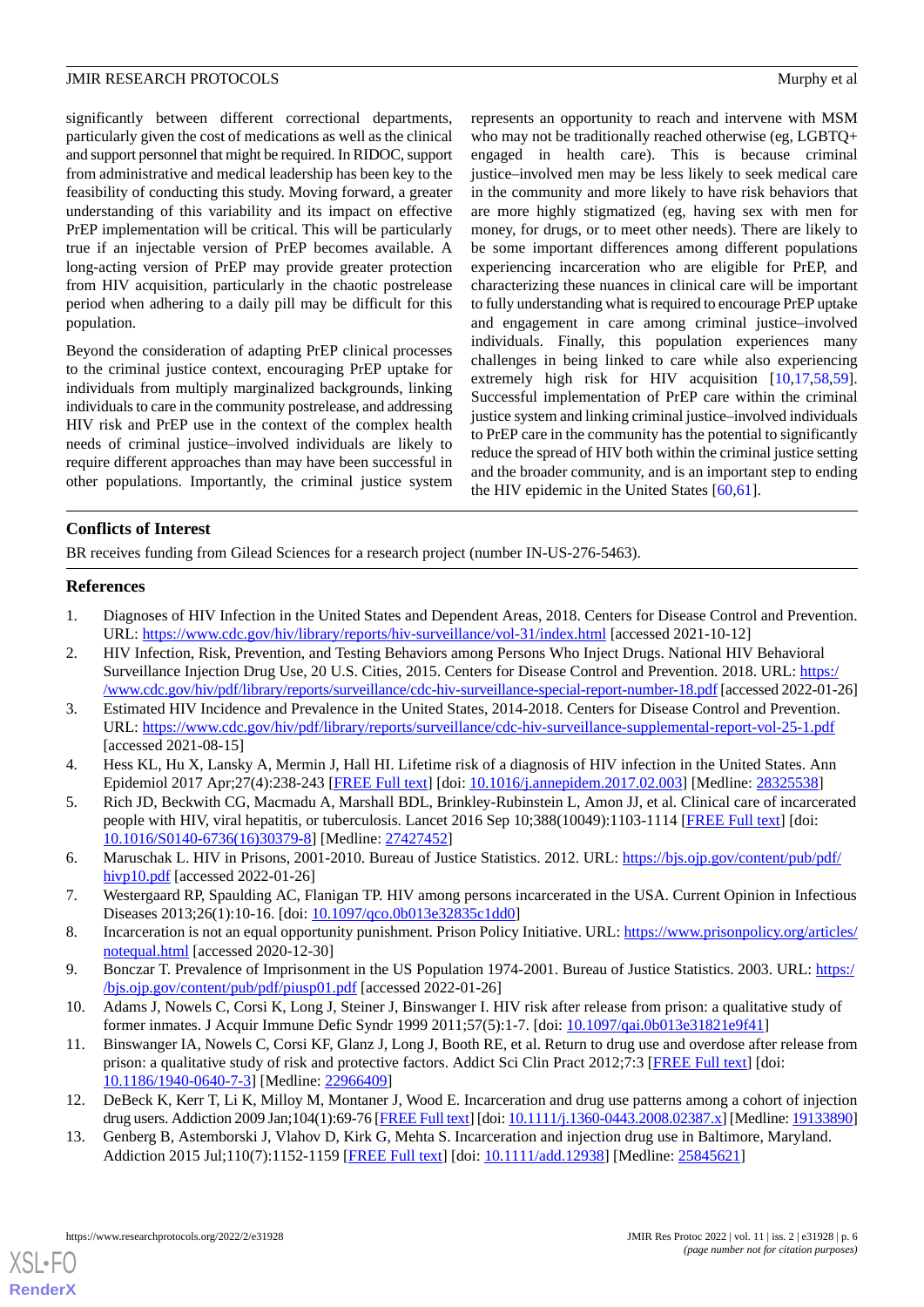significantly between different correctional departments, particularly given the cost of medications as well as the clinical and support personnel that might be required. In RIDOC, support from administrative and medical leadership has been key to the feasibility of conducting this study. Moving forward, a greater understanding of this variability and its impact on effective PrEP implementation will be critical. This will be particularly true if an injectable version of PrEP becomes available. A long-acting version of PrEP may provide greater protection from HIV acquisition, particularly in the chaotic postrelease period when adhering to a daily pill may be difficult for this population.

Beyond the consideration of adapting PrEP clinical processes to the criminal justice context, encouraging PrEP uptake for individuals from multiply marginalized backgrounds, linking individuals to care in the community postrelease, and addressing HIV risk and PrEP use in the context of the complex health needs of criminal justice–involved individuals are likely to require different approaches than may have been successful in other populations. Importantly, the criminal justice system

represents an opportunity to reach and intervene with MSM who may not be traditionally reached otherwise (eg, LGBTQ+ engaged in health care). This is because criminal justice–involved men may be less likely to seek medical care in the community and more likely to have risk behaviors that are more highly stigmatized (eg, having sex with men for money, for drugs, or to meet other needs). There are likely to be some important differences among different populations experiencing incarceration who are eligible for PrEP, and characterizing these nuances in clinical care will be important to fully understanding what is required to encourage PrEP uptake and engagement in care among criminal justice–involved individuals. Finally, this population experiences many challenges in being linked to care while also experiencing extremely high risk for HIV acquisition [\[10](#page-5-9),[17](#page-6-0)[,58](#page-8-2),[59\]](#page-8-3). Successful implementation of PrEP care within the criminal justice system and linking criminal justice–involved individuals to PrEP care in the community has the potential to significantly reduce the spread of HIV both within the criminal justice setting and the broader community, and is an important step to ending the HIV epidemic in the United States [\[60](#page-8-4),[61\]](#page-8-5).

# **Conflicts of Interest**

<span id="page-5-0"></span>BR receives funding from Gilead Sciences for a research project (number IN-US-276-5463).

### <span id="page-5-1"></span>**References**

- 1. Diagnoses of HIV Infection in the United States and Dependent Areas, 2018. Centers for Disease Control and Prevention. URL: <https://www.cdc.gov/hiv/library/reports/hiv-surveillance/vol-31/index.html> [accessed 2021-10-12]
- <span id="page-5-2"></span>2. HIV Infection, Risk, Prevention, and Testing Behaviors among Persons Who Inject Drugs. National HIV Behavioral Surveillance Injection Drug Use, 20 U.S. Cities, 2015. Centers for Disease Control and Prevention. 2018. URL: [https:/](https://www.cdc.gov/hiv/pdf/library/reports/surveillance/cdc-hiv-surveillance-special-report-number-18.pdf) [/www.cdc.gov/hiv/pdf/library/reports/surveillance/cdc-hiv-surveillance-special-report-number-18.pdf](https://www.cdc.gov/hiv/pdf/library/reports/surveillance/cdc-hiv-surveillance-special-report-number-18.pdf) [accessed 2022-01-26]
- <span id="page-5-4"></span><span id="page-5-3"></span>3. Estimated HIV Incidence and Prevalence in the United States, 2014-2018. Centers for Disease Control and Prevention. URL: <https://www.cdc.gov/hiv/pdf/library/reports/surveillance/cdc-hiv-surveillance-supplemental-report-vol-25-1.pdf> [accessed 2021-08-15]
- <span id="page-5-5"></span>4. Hess KL, Hu X, Lansky A, Mermin J, Hall HI. Lifetime risk of a diagnosis of HIV infection in the United States. Ann Epidemiol 2017 Apr;27(4):238-243 [\[FREE Full text\]](http://europepmc.org/abstract/MED/28325538) [doi: [10.1016/j.annepidem.2017.02.003\]](http://dx.doi.org/10.1016/j.annepidem.2017.02.003) [Medline: [28325538\]](http://www.ncbi.nlm.nih.gov/entrez/query.fcgi?cmd=Retrieve&db=PubMed&list_uids=28325538&dopt=Abstract)
- <span id="page-5-6"></span>5. Rich JD, Beckwith CG, Macmadu A, Marshall BDL, Brinkley-Rubinstein L, Amon JJ, et al. Clinical care of incarcerated people with HIV, viral hepatitis, or tuberculosis. Lancet 2016 Sep 10;388(10049):1103-1114 [\[FREE Full text\]](http://europepmc.org/abstract/MED/27427452) [doi: [10.1016/S0140-6736\(16\)30379-8\]](http://dx.doi.org/10.1016/S0140-6736(16)30379-8) [Medline: [27427452](http://www.ncbi.nlm.nih.gov/entrez/query.fcgi?cmd=Retrieve&db=PubMed&list_uids=27427452&dopt=Abstract)]
- <span id="page-5-8"></span><span id="page-5-7"></span>6. Maruschak L. HIV in Prisons, 2001-2010. Bureau of Justice Statistics. 2012. URL: [https://bjs.ojp.gov/content/pub/pdf/](https://bjs.ojp.gov/content/pub/pdf/hivp10.pdf) [hivp10.pdf](https://bjs.ojp.gov/content/pub/pdf/hivp10.pdf) [accessed 2022-01-26]
- <span id="page-5-9"></span>7. Westergaard RP, Spaulding AC, Flanigan TP. HIV among persons incarcerated in the USA. Current Opinion in Infectious Diseases 2013;26(1):10-16. [doi: [10.1097/qco.0b013e32835c1dd0](http://dx.doi.org/10.1097/qco.0b013e32835c1dd0)]
- 8. Incarceration is not an equal opportunity punishment. Prison Policy Initiative. URL: [https://www.prisonpolicy.org/articles/](https://www.prisonpolicy.org/articles/notequal.html) [notequal.html](https://www.prisonpolicy.org/articles/notequal.html) [accessed 2020-12-30]
- 9. Bonczar T. Prevalence of Imprisonment in the US Population 1974-2001. Bureau of Justice Statistics. 2003. URL: [https:/](https://bjs.ojp.gov/content/pub/pdf/piusp01.pdf) [/bjs.ojp.gov/content/pub/pdf/piusp01.pdf](https://bjs.ojp.gov/content/pub/pdf/piusp01.pdf) [accessed 2022-01-26]
- 10. Adams J, Nowels C, Corsi K, Long J, Steiner J, Binswanger I. HIV risk after release from prison: a qualitative study of former inmates. J Acquir Immune Defic Syndr 1999 2011;57(5):1-7. [doi: [10.1097/qai.0b013e31821e9f41](http://dx.doi.org/10.1097/qai.0b013e31821e9f41)]
- 11. Binswanger IA, Nowels C, Corsi KF, Glanz J, Long J, Booth RE, et al. Return to drug use and overdose after release from prison: a qualitative study of risk and protective factors. Addict Sci Clin Pract 2012;7:3 [[FREE Full text](https://ascpjournal.biomedcentral.com/articles/10.1186/1940-0640-7-3)] [doi: [10.1186/1940-0640-7-3\]](http://dx.doi.org/10.1186/1940-0640-7-3) [Medline: [22966409\]](http://www.ncbi.nlm.nih.gov/entrez/query.fcgi?cmd=Retrieve&db=PubMed&list_uids=22966409&dopt=Abstract)
- 12. DeBeck K, Kerr T, Li K, Milloy M, Montaner J, Wood E. Incarceration and drug use patterns among a cohort of injection drug users. Addiction 2009 Jan;104(1):69-76 [[FREE Full text](http://europepmc.org/abstract/MED/19133890)] [doi: [10.1111/j.1360-0443.2008.02387.x](http://dx.doi.org/10.1111/j.1360-0443.2008.02387.x)] [Medline: [19133890\]](http://www.ncbi.nlm.nih.gov/entrez/query.fcgi?cmd=Retrieve&db=PubMed&list_uids=19133890&dopt=Abstract)
- 13. Genberg B, Astemborski J, Vlahov D, Kirk G, Mehta S. Incarceration and injection drug use in Baltimore, Maryland. Addiction 2015 Jul;110(7):1152-1159 [[FREE Full text\]](http://europepmc.org/abstract/MED/25845621) [doi: [10.1111/add.12938](http://dx.doi.org/10.1111/add.12938)] [Medline: [25845621](http://www.ncbi.nlm.nih.gov/entrez/query.fcgi?cmd=Retrieve&db=PubMed&list_uids=25845621&dopt=Abstract)]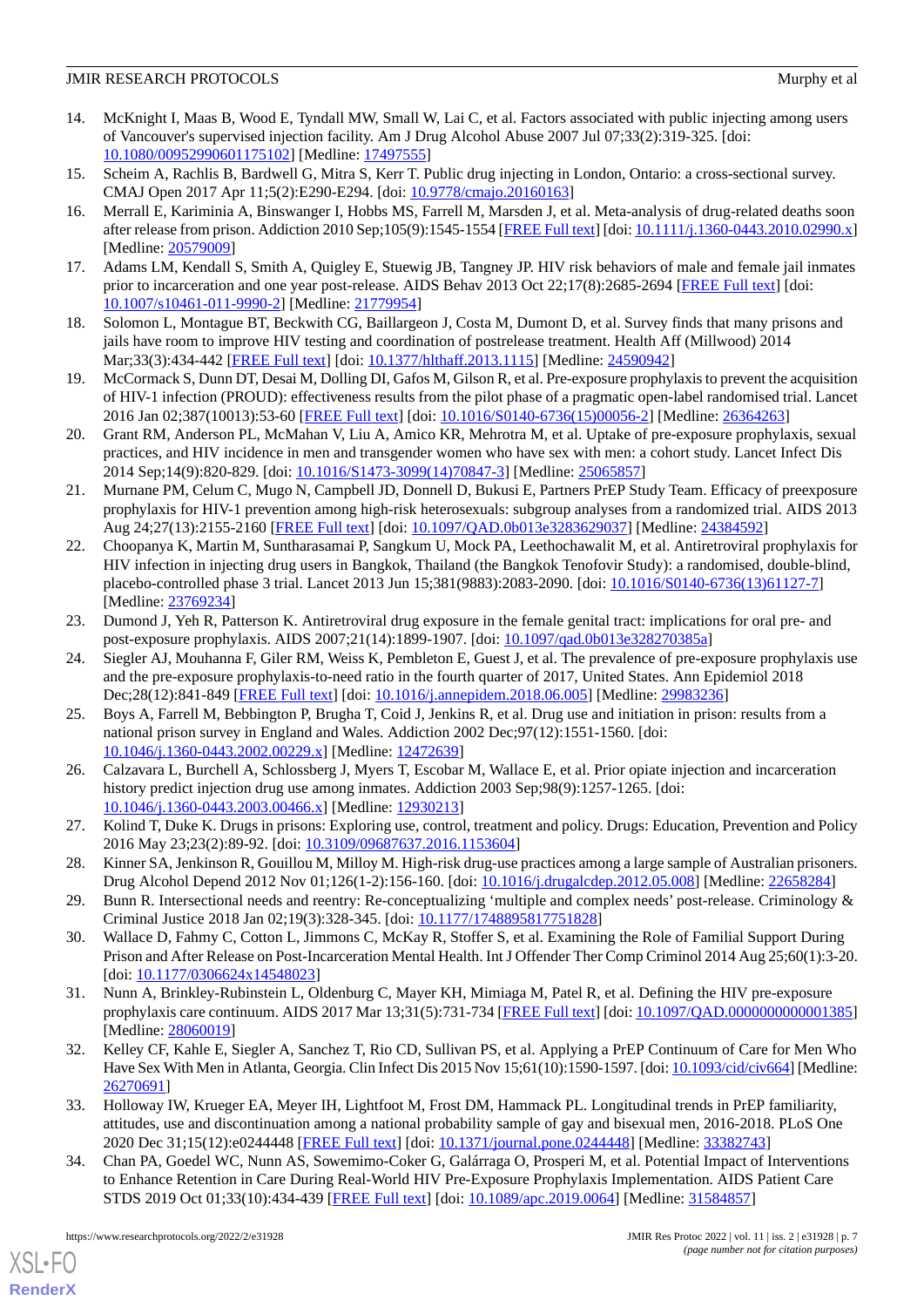- 14. McKnight I, Maas B, Wood E, Tyndall MW, Small W, Lai C, et al. Factors associated with public injecting among users of Vancouver's supervised injection facility. Am J Drug Alcohol Abuse 2007 Jul 07;33(2):319-325. [doi: [10.1080/00952990601175102\]](http://dx.doi.org/10.1080/00952990601175102) [Medline: [17497555\]](http://www.ncbi.nlm.nih.gov/entrez/query.fcgi?cmd=Retrieve&db=PubMed&list_uids=17497555&dopt=Abstract)
- 15. Scheim A, Rachlis B, Bardwell G, Mitra S, Kerr T. Public drug injecting in London, Ontario: a cross-sectional survey. CMAJ Open 2017 Apr 11;5(2):E290-E294. [doi: [10.9778/cmajo.20160163\]](http://dx.doi.org/10.9778/cmajo.20160163)
- 16. Merrall E, Kariminia A, Binswanger I, Hobbs MS, Farrell M, Marsden J, et al. Meta-analysis of drug-related deaths soon after release from prison. Addiction 2010 Sep;105(9):1545-1554 [[FREE Full text\]](https://doi.org/10.1111/j.1360-0443.2010.02990.x) [doi: [10.1111/j.1360-0443.2010.02990.x](http://dx.doi.org/10.1111/j.1360-0443.2010.02990.x)] [Medline: [20579009](http://www.ncbi.nlm.nih.gov/entrez/query.fcgi?cmd=Retrieve&db=PubMed&list_uids=20579009&dopt=Abstract)]
- <span id="page-6-1"></span><span id="page-6-0"></span>17. Adams LM, Kendall S, Smith A, Quigley E, Stuewig JB, Tangney JP. HIV risk behaviors of male and female jail inmates prior to incarceration and one year post-release. AIDS Behav 2013 Oct 22;17(8):2685-2694 [\[FREE Full text\]](http://europepmc.org/abstract/MED/21779954) [doi: [10.1007/s10461-011-9990-2\]](http://dx.doi.org/10.1007/s10461-011-9990-2) [Medline: [21779954](http://www.ncbi.nlm.nih.gov/entrez/query.fcgi?cmd=Retrieve&db=PubMed&list_uids=21779954&dopt=Abstract)]
- <span id="page-6-2"></span>18. Solomon L, Montague BT, Beckwith CG, Baillargeon J, Costa M, Dumont D, et al. Survey finds that many prisons and jails have room to improve HIV testing and coordination of postrelease treatment. Health Aff (Millwood) 2014 Mar;33(3):434-442 [[FREE Full text\]](http://europepmc.org/abstract/MED/24590942) [doi: [10.1377/hlthaff.2013.1115\]](http://dx.doi.org/10.1377/hlthaff.2013.1115) [Medline: [24590942\]](http://www.ncbi.nlm.nih.gov/entrez/query.fcgi?cmd=Retrieve&db=PubMed&list_uids=24590942&dopt=Abstract)
- <span id="page-6-3"></span>19. McCormack S, Dunn DT, Desai M, Dolling DI, Gafos M, Gilson R, et al. Pre-exposure prophylaxis to prevent the acquisition of HIV-1 infection (PROUD): effectiveness results from the pilot phase of a pragmatic open-label randomised trial. Lancet 2016 Jan 02;387(10013):53-60 [\[FREE Full text\]](https://linkinghub.elsevier.com/retrieve/pii/S0140-6736(15)00056-2) [doi: [10.1016/S0140-6736\(15\)00056-2](http://dx.doi.org/10.1016/S0140-6736(15)00056-2)] [Medline: [26364263\]](http://www.ncbi.nlm.nih.gov/entrez/query.fcgi?cmd=Retrieve&db=PubMed&list_uids=26364263&dopt=Abstract)
- <span id="page-6-4"></span>20. Grant RM, Anderson PL, McMahan V, Liu A, Amico KR, Mehrotra M, et al. Uptake of pre-exposure prophylaxis, sexual practices, and HIV incidence in men and transgender women who have sex with men: a cohort study. Lancet Infect Dis 2014 Sep;14(9):820-829. [doi: [10.1016/S1473-3099\(14\)70847-3](http://dx.doi.org/10.1016/S1473-3099(14)70847-3)] [Medline: [25065857\]](http://www.ncbi.nlm.nih.gov/entrez/query.fcgi?cmd=Retrieve&db=PubMed&list_uids=25065857&dopt=Abstract)
- <span id="page-6-5"></span>21. Murnane PM, Celum C, Mugo N, Campbell JD, Donnell D, Bukusi E, Partners PrEP Study Team. Efficacy of preexposure prophylaxis for HIV-1 prevention among high-risk heterosexuals: subgroup analyses from a randomized trial. AIDS 2013 Aug 24;27(13):2155-2160 [[FREE Full text](http://europepmc.org/abstract/MED/24384592)] [doi: [10.1097/QAD.0b013e3283629037](http://dx.doi.org/10.1097/QAD.0b013e3283629037)] [Medline: [24384592\]](http://www.ncbi.nlm.nih.gov/entrez/query.fcgi?cmd=Retrieve&db=PubMed&list_uids=24384592&dopt=Abstract)
- <span id="page-6-6"></span>22. Choopanya K, Martin M, Suntharasamai P, Sangkum U, Mock PA, Leethochawalit M, et al. Antiretroviral prophylaxis for HIV infection in injecting drug users in Bangkok, Thailand (the Bangkok Tenofovir Study): a randomised, double-blind, placebo-controlled phase 3 trial. Lancet 2013 Jun 15;381(9883):2083-2090. [doi: [10.1016/S0140-6736\(13\)61127-7\]](http://dx.doi.org/10.1016/S0140-6736(13)61127-7) [Medline: [23769234](http://www.ncbi.nlm.nih.gov/entrez/query.fcgi?cmd=Retrieve&db=PubMed&list_uids=23769234&dopt=Abstract)]
- <span id="page-6-7"></span>23. Dumond J, Yeh R, Patterson K. Antiretroviral drug exposure in the female genital tract: implications for oral pre- and post-exposure prophylaxis. AIDS 2007;21(14):1899-1907. [doi: [10.1097/qad.0b013e328270385a](http://dx.doi.org/10.1097/qad.0b013e328270385a)]
- <span id="page-6-8"></span>24. Siegler AJ, Mouhanna F, Giler RM, Weiss K, Pembleton E, Guest J, et al. The prevalence of pre-exposure prophylaxis use and the pre-exposure prophylaxis-to-need ratio in the fourth quarter of 2017, United States. Ann Epidemiol 2018 Dec;28(12):841-849 [\[FREE Full text](https://linkinghub.elsevier.com/retrieve/pii/S1047-2797(18)30107-8)] [doi: [10.1016/j.annepidem.2018.06.005\]](http://dx.doi.org/10.1016/j.annepidem.2018.06.005) [Medline: [29983236](http://www.ncbi.nlm.nih.gov/entrez/query.fcgi?cmd=Retrieve&db=PubMed&list_uids=29983236&dopt=Abstract)]
- <span id="page-6-9"></span>25. Boys A, Farrell M, Bebbington P, Brugha T, Coid J, Jenkins R, et al. Drug use and initiation in prison: results from a national prison survey in England and Wales. Addiction 2002 Dec;97(12):1551-1560. [doi: [10.1046/j.1360-0443.2002.00229.x\]](http://dx.doi.org/10.1046/j.1360-0443.2002.00229.x) [Medline: [12472639\]](http://www.ncbi.nlm.nih.gov/entrez/query.fcgi?cmd=Retrieve&db=PubMed&list_uids=12472639&dopt=Abstract)
- <span id="page-6-11"></span><span id="page-6-10"></span>26. Calzavara L, Burchell A, Schlossberg J, Myers T, Escobar M, Wallace E, et al. Prior opiate injection and incarceration history predict injection drug use among inmates. Addiction 2003 Sep;98(9):1257-1265. [doi: [10.1046/j.1360-0443.2003.00466.x\]](http://dx.doi.org/10.1046/j.1360-0443.2003.00466.x) [Medline: [12930213\]](http://www.ncbi.nlm.nih.gov/entrez/query.fcgi?cmd=Retrieve&db=PubMed&list_uids=12930213&dopt=Abstract)
- <span id="page-6-12"></span>27. Kolind T, Duke K. Drugs in prisons: Exploring use, control, treatment and policy. Drugs: Education, Prevention and Policy 2016 May 23;23(2):89-92. [doi: [10.3109/09687637.2016.1153604](http://dx.doi.org/10.3109/09687637.2016.1153604)]
- <span id="page-6-13"></span>28. Kinner SA, Jenkinson R, Gouillou M, Milloy M. High-risk drug-use practices among a large sample of Australian prisoners. Drug Alcohol Depend 2012 Nov 01;126(1-2):156-160. [doi: [10.1016/j.drugalcdep.2012.05.008\]](http://dx.doi.org/10.1016/j.drugalcdep.2012.05.008) [Medline: [22658284](http://www.ncbi.nlm.nih.gov/entrez/query.fcgi?cmd=Retrieve&db=PubMed&list_uids=22658284&dopt=Abstract)]
- <span id="page-6-14"></span>29. Bunn R. Intersectional needs and reentry: Re-conceptualizing 'multiple and complex needs' post-release. Criminology & Criminal Justice 2018 Jan 02;19(3):328-345. [doi: [10.1177/1748895817751828\]](http://dx.doi.org/10.1177/1748895817751828)
- <span id="page-6-15"></span>30. Wallace D, Fahmy C, Cotton L, Jimmons C, McKay R, Stoffer S, et al. Examining the Role of Familial Support During Prison and After Release on Post-Incarceration Mental Health. Int J Offender Ther Comp Criminol 2014 Aug 25;60(1):3-20. [doi: [10.1177/0306624x14548023](http://dx.doi.org/10.1177/0306624x14548023)]
- 31. Nunn A, Brinkley-Rubinstein L, Oldenburg C, Mayer KH, Mimiaga M, Patel R, et al. Defining the HIV pre-exposure prophylaxis care continuum. AIDS 2017 Mar 13;31(5):731-734 [\[FREE Full text\]](http://europepmc.org/abstract/MED/28060019) [doi: [10.1097/QAD.0000000000001385](http://dx.doi.org/10.1097/QAD.0000000000001385)] [Medline: [28060019](http://www.ncbi.nlm.nih.gov/entrez/query.fcgi?cmd=Retrieve&db=PubMed&list_uids=28060019&dopt=Abstract)]
- <span id="page-6-16"></span>32. Kelley CF, Kahle E, Siegler A, Sanchez T, Rio CD, Sullivan PS, et al. Applying a PrEP Continuum of Care for Men Who Have Sex With Men in Atlanta, Georgia. Clin Infect Dis 2015 Nov 15;61(10):1590-1597. [doi: [10.1093/cid/civ664\]](http://dx.doi.org/10.1093/cid/civ664) [Medline: [26270691](http://www.ncbi.nlm.nih.gov/entrez/query.fcgi?cmd=Retrieve&db=PubMed&list_uids=26270691&dopt=Abstract)]
- 33. Holloway IW, Krueger EA, Meyer IH, Lightfoot M, Frost DM, Hammack PL. Longitudinal trends in PrEP familiarity, attitudes, use and discontinuation among a national probability sample of gay and bisexual men, 2016-2018. PLoS One 2020 Dec 31;15(12):e0244448 [\[FREE Full text\]](https://dx.plos.org/10.1371/journal.pone.0244448) [doi: [10.1371/journal.pone.0244448\]](http://dx.doi.org/10.1371/journal.pone.0244448) [Medline: [33382743\]](http://www.ncbi.nlm.nih.gov/entrez/query.fcgi?cmd=Retrieve&db=PubMed&list_uids=33382743&dopt=Abstract)
- 34. Chan PA, Goedel WC, Nunn AS, Sowemimo-Coker G, Galárraga O, Prosperi M, et al. Potential Impact of Interventions to Enhance Retention in Care During Real-World HIV Pre-Exposure Prophylaxis Implementation. AIDS Patient Care STDS 2019 Oct 01;33(10):434-439 [\[FREE Full text\]](http://europepmc.org/abstract/MED/31584857) [doi: [10.1089/apc.2019.0064](http://dx.doi.org/10.1089/apc.2019.0064)] [Medline: [31584857\]](http://www.ncbi.nlm.nih.gov/entrez/query.fcgi?cmd=Retrieve&db=PubMed&list_uids=31584857&dopt=Abstract)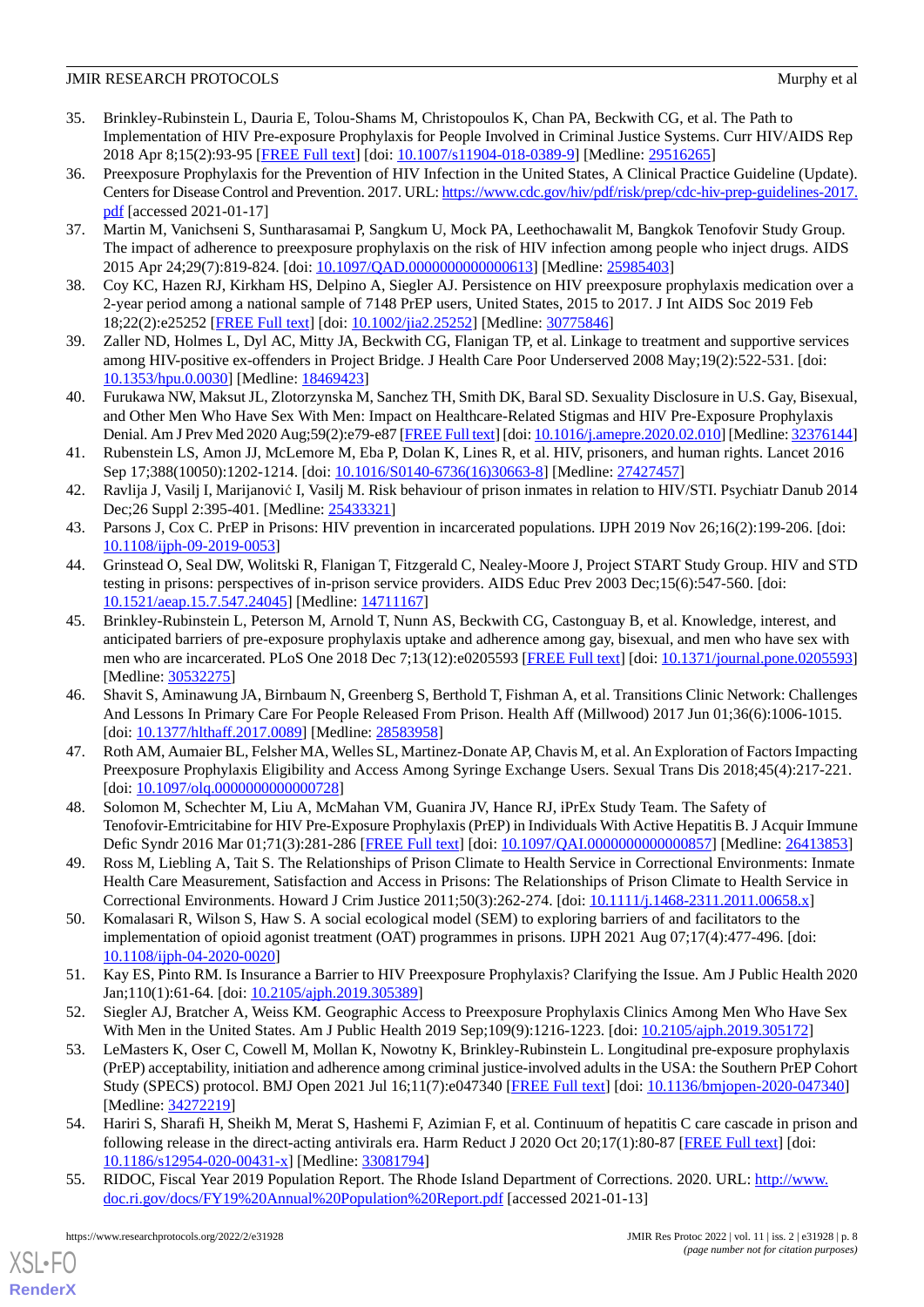- <span id="page-7-0"></span>35. Brinkley-Rubinstein L, Dauria E, Tolou-Shams M, Christopoulos K, Chan PA, Beckwith CG, et al. The Path to Implementation of HIV Pre-exposure Prophylaxis for People Involved in Criminal Justice Systems. Curr HIV/AIDS Rep 2018 Apr 8;15(2):93-95 [\[FREE Full text\]](http://europepmc.org/abstract/MED/29516265) [doi: [10.1007/s11904-018-0389-9](http://dx.doi.org/10.1007/s11904-018-0389-9)] [Medline: [29516265](http://www.ncbi.nlm.nih.gov/entrez/query.fcgi?cmd=Retrieve&db=PubMed&list_uids=29516265&dopt=Abstract)]
- <span id="page-7-1"></span>36. Preexposure Prophylaxis for the Prevention of HIV Infection in the United States, A Clinical Practice Guideline (Update). Centers for Disease Control and Prevention. 2017. URL: [https://www.cdc.gov/hiv/pdf/risk/prep/cdc-hiv-prep-guidelines-2017.](https://www.cdc.gov/hiv/pdf/risk/prep/cdc-hiv-prep-guidelines-2017.pdf) [pdf](https://www.cdc.gov/hiv/pdf/risk/prep/cdc-hiv-prep-guidelines-2017.pdf) [accessed 2021-01-17]
- <span id="page-7-2"></span>37. Martin M, Vanichseni S, Suntharasamai P, Sangkum U, Mock PA, Leethochawalit M, Bangkok Tenofovir Study Group. The impact of adherence to preexposure prophylaxis on the risk of HIV infection among people who inject drugs. AIDS 2015 Apr 24;29(7):819-824. [doi: [10.1097/QAD.0000000000000613\]](http://dx.doi.org/10.1097/QAD.0000000000000613) [Medline: [25985403](http://www.ncbi.nlm.nih.gov/entrez/query.fcgi?cmd=Retrieve&db=PubMed&list_uids=25985403&dopt=Abstract)]
- <span id="page-7-4"></span><span id="page-7-3"></span>38. Coy KC, Hazen RJ, Kirkham HS, Delpino A, Siegler AJ. Persistence on HIV preexposure prophylaxis medication over a 2-year period among a national sample of 7148 PrEP users, United States, 2015 to 2017. J Int AIDS Soc 2019 Feb 18;22(2):e25252 [\[FREE Full text](http://europepmc.org/abstract/MED/30775846)] [doi: [10.1002/jia2.25252](http://dx.doi.org/10.1002/jia2.25252)] [Medline: [30775846](http://www.ncbi.nlm.nih.gov/entrez/query.fcgi?cmd=Retrieve&db=PubMed&list_uids=30775846&dopt=Abstract)]
- <span id="page-7-5"></span>39. Zaller ND, Holmes L, Dyl AC, Mitty JA, Beckwith CG, Flanigan TP, et al. Linkage to treatment and supportive services among HIV-positive ex-offenders in Project Bridge. J Health Care Poor Underserved 2008 May;19(2):522-531. [doi: [10.1353/hpu.0.0030\]](http://dx.doi.org/10.1353/hpu.0.0030) [Medline: [18469423\]](http://www.ncbi.nlm.nih.gov/entrez/query.fcgi?cmd=Retrieve&db=PubMed&list_uids=18469423&dopt=Abstract)
- 40. Furukawa NW, Maksut JL, Zlotorzynska M, Sanchez TH, Smith DK, Baral SD. Sexuality Disclosure in U.S. Gay, Bisexual, and Other Men Who Have Sex With Men: Impact on Healthcare-Related Stigmas and HIV Pre-Exposure Prophylaxis Denial. Am J Prev Med 2020 Aug;59(2):e79-e87 [[FREE Full text\]](http://europepmc.org/abstract/MED/32376144) [doi: [10.1016/j.amepre.2020.02.010](http://dx.doi.org/10.1016/j.amepre.2020.02.010)] [Medline: [32376144\]](http://www.ncbi.nlm.nih.gov/entrez/query.fcgi?cmd=Retrieve&db=PubMed&list_uids=32376144&dopt=Abstract)
- <span id="page-7-6"></span>41. Rubenstein LS, Amon JJ, McLemore M, Eba P, Dolan K, Lines R, et al. HIV, prisoners, and human rights. Lancet 2016 Sep 17;388(10050):1202-1214. [doi: [10.1016/S0140-6736\(16\)30663-8](http://dx.doi.org/10.1016/S0140-6736(16)30663-8)] [Medline: [27427457\]](http://www.ncbi.nlm.nih.gov/entrez/query.fcgi?cmd=Retrieve&db=PubMed&list_uids=27427457&dopt=Abstract)
- <span id="page-7-7"></span>42. Ravlija J, Vasilj I, Marijanović I, Vasilj M. Risk behaviour of prison inmates in relation to HIV/STI. Psychiatr Danub 2014 Dec;26 Suppl 2:395-401. [Medline: [25433321\]](http://www.ncbi.nlm.nih.gov/entrez/query.fcgi?cmd=Retrieve&db=PubMed&list_uids=25433321&dopt=Abstract)
- <span id="page-7-8"></span>43. Parsons J, Cox C. PrEP in Prisons: HIV prevention in incarcerated populations. IJPH 2019 Nov 26;16(2):199-206. [doi: [10.1108/ijph-09-2019-0053](http://dx.doi.org/10.1108/ijph-09-2019-0053)]
- <span id="page-7-9"></span>44. Grinstead O, Seal DW, Wolitski R, Flanigan T, Fitzgerald C, Nealey-Moore J, Project START Study Group. HIV and STD testing in prisons: perspectives of in-prison service providers. AIDS Educ Prev 2003 Dec;15(6):547-560. [doi: [10.1521/aeap.15.7.547.24045](http://dx.doi.org/10.1521/aeap.15.7.547.24045)] [Medline: [14711167\]](http://www.ncbi.nlm.nih.gov/entrez/query.fcgi?cmd=Retrieve&db=PubMed&list_uids=14711167&dopt=Abstract)
- <span id="page-7-10"></span>45. Brinkley-Rubinstein L, Peterson M, Arnold T, Nunn AS, Beckwith CG, Castonguay B, et al. Knowledge, interest, and anticipated barriers of pre-exposure prophylaxis uptake and adherence among gay, bisexual, and men who have sex with men who are incarcerated. PLoS One 2018 Dec 7;13(12):e0205593 [[FREE Full text\]](https://dx.plos.org/10.1371/journal.pone.0205593) [doi: [10.1371/journal.pone.0205593](http://dx.doi.org/10.1371/journal.pone.0205593)] [Medline: [30532275](http://www.ncbi.nlm.nih.gov/entrez/query.fcgi?cmd=Retrieve&db=PubMed&list_uids=30532275&dopt=Abstract)]
- <span id="page-7-11"></span>46. Shavit S, Aminawung JA, Birnbaum N, Greenberg S, Berthold T, Fishman A, et al. Transitions Clinic Network: Challenges And Lessons In Primary Care For People Released From Prison. Health Aff (Millwood) 2017 Jun 01;36(6):1006-1015. [doi: [10.1377/hlthaff.2017.0089\]](http://dx.doi.org/10.1377/hlthaff.2017.0089) [Medline: [28583958](http://www.ncbi.nlm.nih.gov/entrez/query.fcgi?cmd=Retrieve&db=PubMed&list_uids=28583958&dopt=Abstract)]
- <span id="page-7-13"></span><span id="page-7-12"></span>47. Roth AM, Aumaier BL, Felsher MA, Welles SL, Martinez-Donate AP, Chavis M, et al. An Exploration of Factors Impacting Preexposure Prophylaxis Eligibility and Access Among Syringe Exchange Users. Sexual Trans Dis 2018;45(4):217-221. [doi: 10.1097/olg.00000000000000728]
- <span id="page-7-14"></span>48. Solomon M, Schechter M, Liu A, McMahan VM, Guanira JV, Hance RJ, iPrEx Study Team. The Safety of Tenofovir-Emtricitabine for HIV Pre-Exposure Prophylaxis (PrEP) in Individuals With Active Hepatitis B. J Acquir Immune Defic Syndr 2016 Mar 01;71(3):281-286 [[FREE Full text\]](http://europepmc.org/abstract/MED/26413853) [doi: [10.1097/QAI.0000000000000857\]](http://dx.doi.org/10.1097/QAI.0000000000000857) [Medline: [26413853](http://www.ncbi.nlm.nih.gov/entrez/query.fcgi?cmd=Retrieve&db=PubMed&list_uids=26413853&dopt=Abstract)]
- <span id="page-7-15"></span>49. Ross M, Liebling A, Tait S. The Relationships of Prison Climate to Health Service in Correctional Environments: Inmate Health Care Measurement, Satisfaction and Access in Prisons: The Relationships of Prison Climate to Health Service in Correctional Environments. Howard J Crim Justice 2011;50(3):262-274. [doi: [10.1111/j.1468-2311.2011.00658.x\]](http://dx.doi.org/10.1111/j.1468-2311.2011.00658.x)
- <span id="page-7-17"></span><span id="page-7-16"></span>50. Komalasari R, Wilson S, Haw S. A social ecological model (SEM) to exploring barriers of and facilitators to the implementation of opioid agonist treatment (OAT) programmes in prisons. IJPH 2021 Aug 07;17(4):477-496. [doi: [10.1108/ijph-04-2020-0020](http://dx.doi.org/10.1108/ijph-04-2020-0020)]
- 51. Kay ES, Pinto RM. Is Insurance a Barrier to HIV Preexposure Prophylaxis? Clarifying the Issue. Am J Public Health 2020 Jan;110(1):61-64. [doi: [10.2105/ajph.2019.305389](http://dx.doi.org/10.2105/ajph.2019.305389)]
- <span id="page-7-18"></span>52. Siegler AJ, Bratcher A, Weiss KM. Geographic Access to Preexposure Prophylaxis Clinics Among Men Who Have Sex With Men in the United States. Am J Public Health 2019 Sep;109(9):1216-1223. [doi: [10.2105/ajph.2019.305172](http://dx.doi.org/10.2105/ajph.2019.305172)]
- <span id="page-7-19"></span>53. LeMasters K, Oser C, Cowell M, Mollan K, Nowotny K, Brinkley-Rubinstein L. Longitudinal pre-exposure prophylaxis (PrEP) acceptability, initiation and adherence among criminal justice-involved adults in the USA: the Southern PrEP Cohort Study (SPECS) protocol. BMJ Open 2021 Jul 16;11(7):e047340 [[FREE Full text](https://bmjopen.bmj.com/lookup/pmidlookup?view=long&pmid=34272219)] [doi: [10.1136/bmjopen-2020-047340](http://dx.doi.org/10.1136/bmjopen-2020-047340)] [Medline: [34272219](http://www.ncbi.nlm.nih.gov/entrez/query.fcgi?cmd=Retrieve&db=PubMed&list_uids=34272219&dopt=Abstract)]
- 54. Hariri S, Sharafi H, Sheikh M, Merat S, Hashemi F, Azimian F, et al. Continuum of hepatitis C care cascade in prison and following release in the direct-acting antivirals era. Harm Reduct J 2020 Oct 20;17(1):80-87 [[FREE Full text](https://harmreductionjournal.biomedcentral.com/articles/10.1186/s12954-020-00431-x)] [doi: [10.1186/s12954-020-00431-x\]](http://dx.doi.org/10.1186/s12954-020-00431-x) [Medline: [33081794\]](http://www.ncbi.nlm.nih.gov/entrez/query.fcgi?cmd=Retrieve&db=PubMed&list_uids=33081794&dopt=Abstract)
- 55. RIDOC, Fiscal Year 2019 Population Report. The Rhode Island Department of Corrections. 2020. URL: [http://www.](http://www.doc.ri.gov/docs/FY19%20Annual%20Population%20Report.pdf) [doc.ri.gov/docs/FY19%20Annual%20Population%20Report.pdf](http://www.doc.ri.gov/docs/FY19%20Annual%20Population%20Report.pdf) [accessed 2021-01-13]